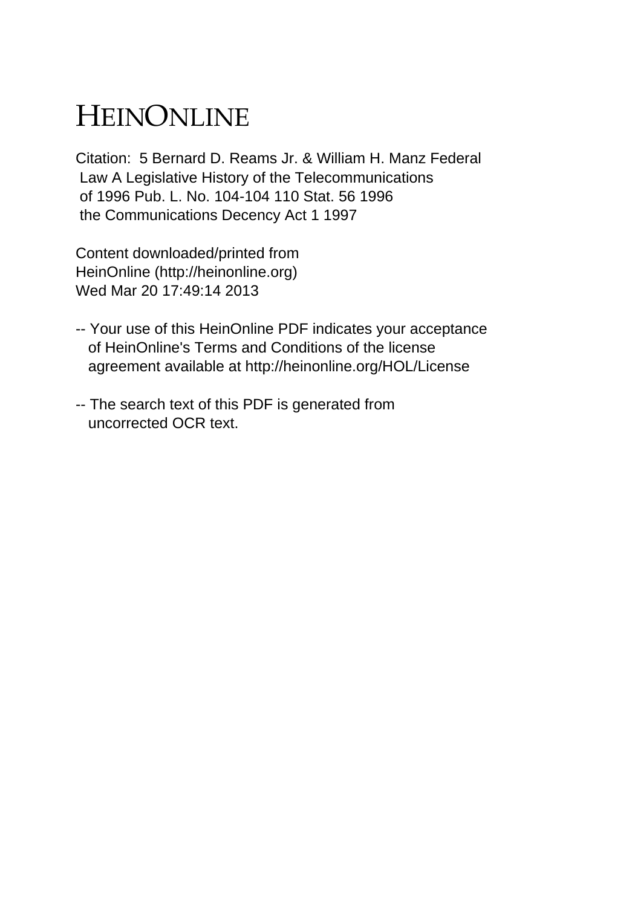# HEINONLINE

Citation: 5 Bernard D. Reams Jr. & William H. Manz Federal Law A Legislative History of the Telecommunications of 1996 Pub. L. No. 104-104 110 Stat. 56 1996 the Communications Decency Act 1 1997

Content downloaded/printed from HeinOnline (http://heinonline.org) Wed Mar 20 17:49:14 2013

- -- Your use of this HeinOnline PDF indicates your acceptance of HeinOnline's Terms and Conditions of the license agreement available at http://heinonline.org/HOL/License
- -- The search text of this PDF is generated from uncorrected OCR text.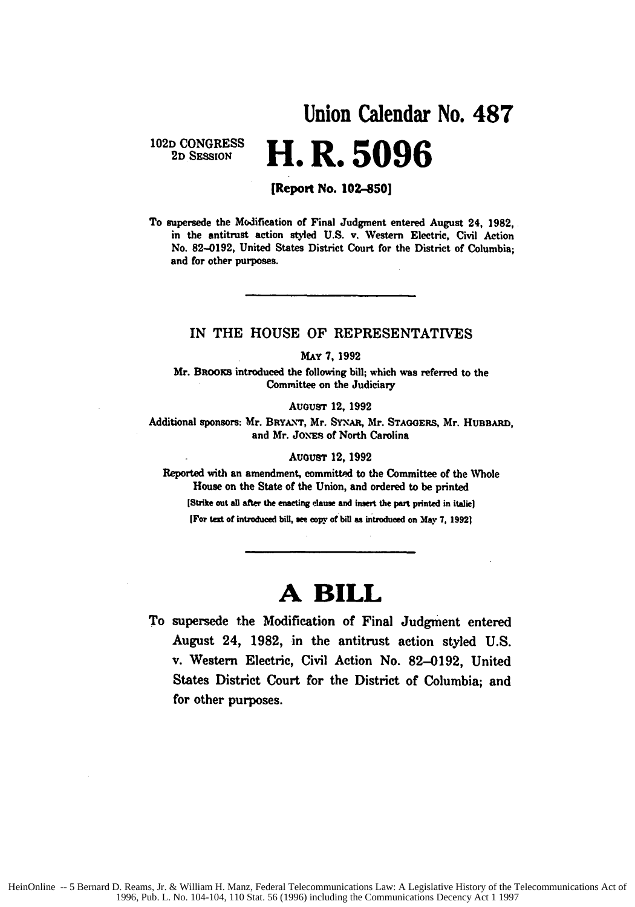## **Union Calendar No. 487 102D CONGRESS 2D SESSION H. R. 5096**

#### **[Report No. 102-850]**

To supersede the Modification of Final Judgment entered August 24, **1982,** in the antitrust action styled **U.S.** v. Western Electric, Civil Action No. **82-0192,** United States District Court for the District of Columbia; and for other purposes.

### IN THE **HOUSE** OF REPRESENTATIVES

#### *MAY* **7, 1992**

Mr. BRooxs introduced the following bill; which was referred to the Committee on the Judiciary

AuousT 12, **1992**

Additional sponsors: Mr. BRYA.\-r, Mr. SYxAR, Mr. **STAGOERS,** Mr. HUBBARD, and Mr. JONES of North Carolina

#### August 12, 1992

Reported with an amendment, committed to the Committee of the **Whole** House on the State of the Union, and ordered to be printed

[Strike out **all after** the **enacting** elause and insert the part printed in italic)

[For text **of** introduced bill, *see* copy of bill *ss* introdued on **May 7, 19921**

# **A BILL**

To supersede the Modification of Final Judgment entered August 24, **1982,** in the antitrust action styled **U.S.** v. Western Electric, Civil Action No. **82-0192,** United States District Court for the District of Columbia; and for other purposes.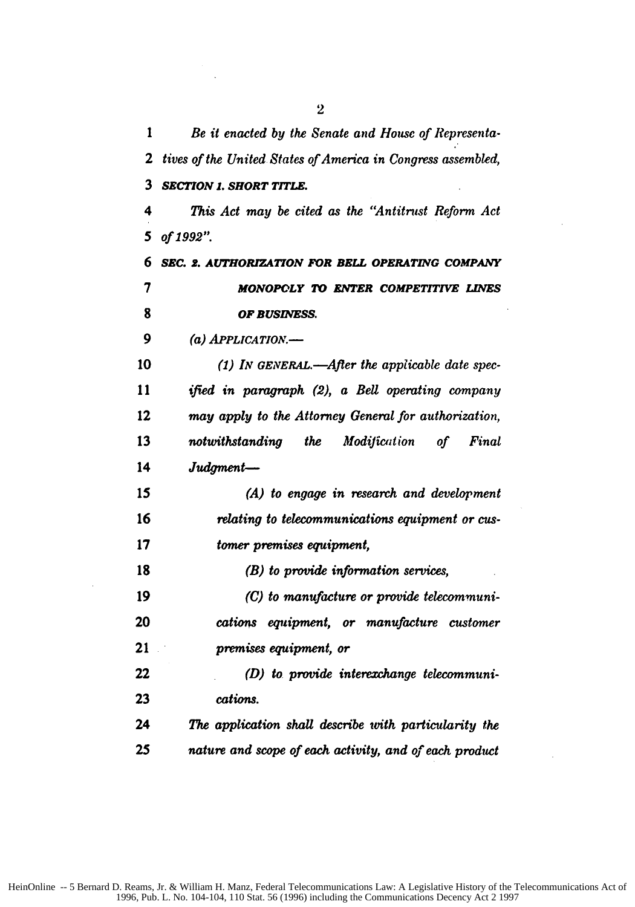*Be it enacted by the Senate and House of Representa-tives of the United States of America in Congress assembled, SECTION 1. SHORT TITLE. This Act may be cited as the "Antitrust Reform Act of 1992". SEC. 2. AUTHORIZATION FOR BELL OPERATING COMPANY MONOPOLY TO ENTER COMPETITIVE LINES OF BUSINESS. (a) APPLICATION-(1) IN GENERAL.-Afler the applicable date spec-***I1** *ified in paragraph (2), a Bell operating company may apply to the Attorney General for authorization,* 13 notwithstanding the Modification of Final *Judgment-(A) to engage in research and development relating to telecommunications equipment or cus-tomer premises equipment, (B) to provide information services, (C) to manufacture or provide telecommuni-cations equipment, or manufacture customer premises equipment, or (D) to provide interexchange telecommuni-cations. The application shall describe with particularity the nature and scope of each activity, and of each product*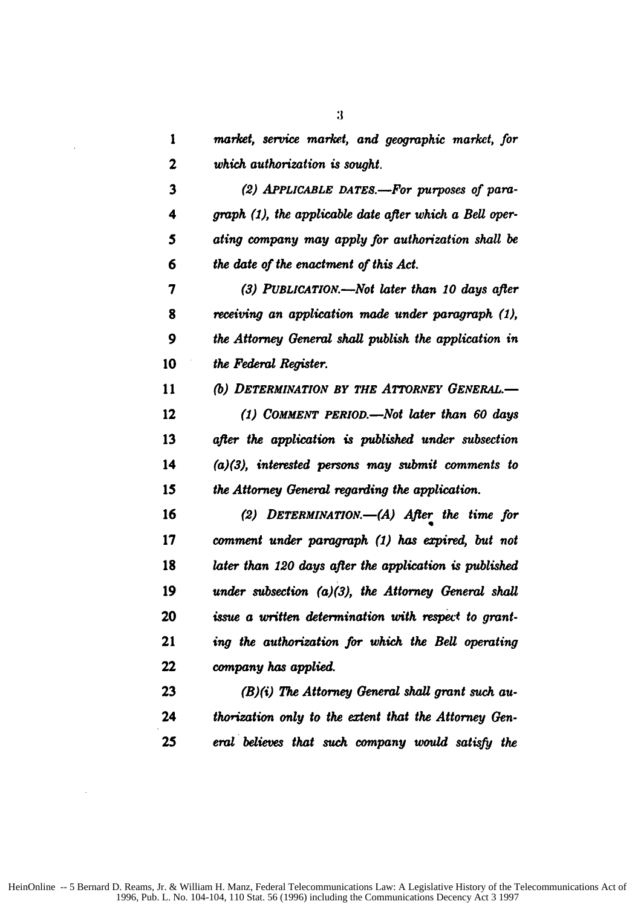|   |  |                                | market, service market, and geographic market, for |  |
|---|--|--------------------------------|----------------------------------------------------|--|
| 2 |  | which authorization is sought. |                                                    |  |

*(2) APPLICABLE DATES.-For purposes of para-graph (1), the applicable date after which a Bell oper-5 ating company may apply for authorization shall be the date of the enactment of this Act.*

*(3) PUBLICATION.-Not later than 10 days after receiving an application made under paragraph (1), the Attorney General shall publish the application in the Federal Register.*

*(b) DETERMINATION BY THE ATTORNEY GENERAL.- (1) COMMENT PERIOD.-Not later than 60 days after the application is published under subsection (a)(3), interested persons may submit comments to the Attorney General regarding the application.*

*(2) DETERMINATION.-(A) After the time for comment under paragraph (1) has expired, but not later than 120 days after the application is published under subsection (a)(3), the Attorney General shall issue a written determination with respect to grant-ing the authorization for which the Bell operating company has applied.*

*(B)(i) The Attorney General shall grant such au-thoization only to the extent that the Attorney Gen-eral believes that such company would satisfy the*

 $\ddot{\mathbf{3}}$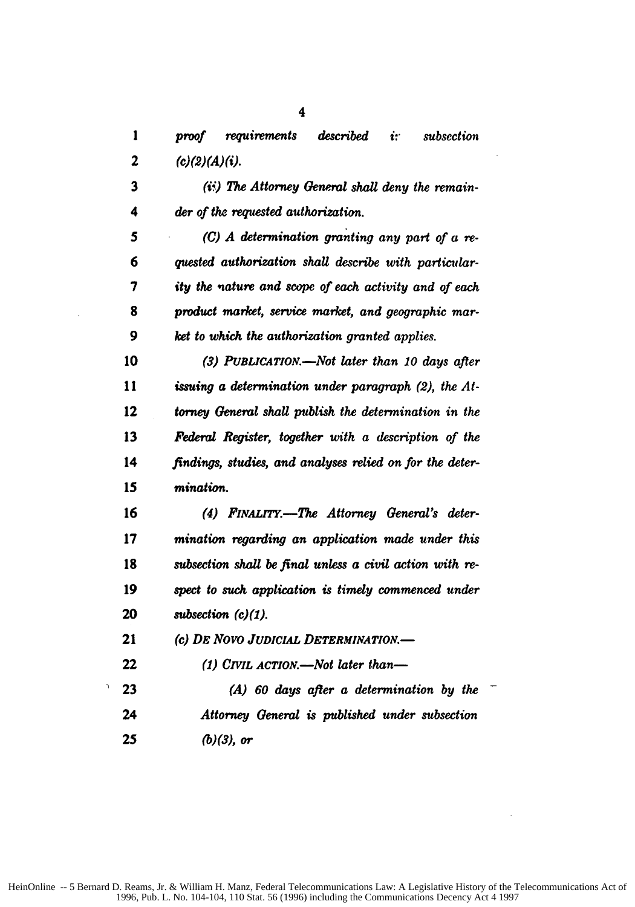*proof requirements described iv subsection* 2  $(c)(2) (A)(i).$ 

*(ii) The Attorney General shall deny the remain-4 der of the requested authorization.*

*(C) A determination granting any part of a re-6 quested authorization shall describe with particular-7 ity the nature and scope of each activity and of each product market, service market, and geographic mar-9 ket to which the authorization granted applies.*

*(3) PUBLICATIO.-Not later than 10 days after issuing a determination under paragraph (2), the At-tomey General shall publish the determination in the Federal Register, together with a description of the findings, studies, and analyses relied on for the deter-mination.*

*(4) FINALrY.-The Attorney General's deter-mination regarding an application made under this subsection shall be final unless a civil action with re-spect to such application is timely commenced under subsection (c)(1).*

*(c) DE Novo JUDICiAL DETERmINATION.-*

*(1) CIVIL ACTION.-Not later than-*

*(A) 60 days after a determination by the Attorney General is published under subsection (b)(3), or*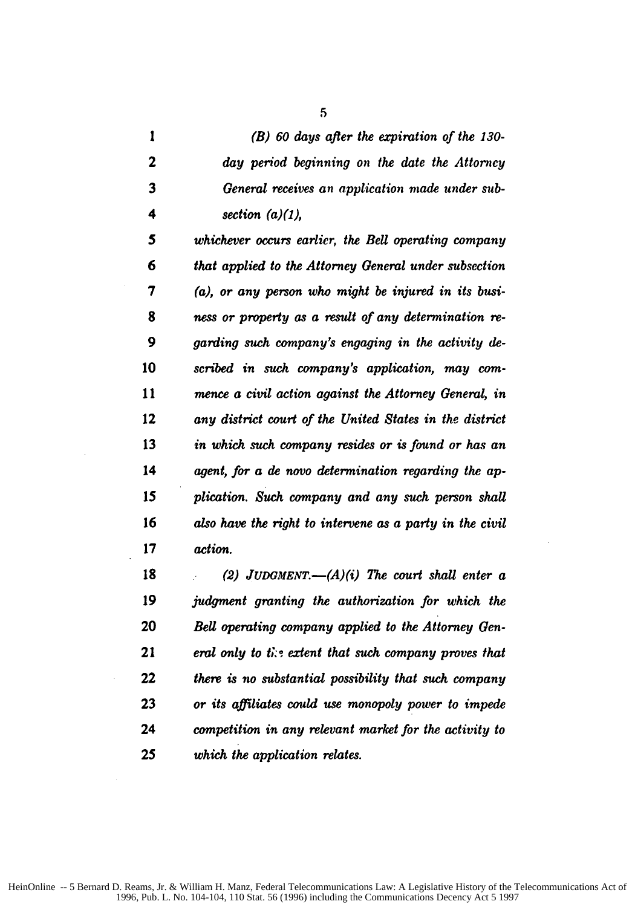*(B) 60 days after the empiration of the 130- day period beginning on the date the Attorney General receives an application made under sub-4 section (a)(1),*

*whichever occurs earlier, the Bell operating company 6 that applied to the Attorney General under subsection (a), or any person who might be injured in its busi-ness or property as a resdt of any determination re-9 garding such company's engaging in the activity de-scribed in such company's application, may corn-mence a civil action against the Attorney General, in any district court of the United States in the district in which such company resides or is found or has an agent, for a de novo determination regarding the ap-15 plication. Such company and any such person shall also have the right to intervene as a party in the civil action.*

*(2) JUDGMENT.- (A)(i) The court shall enter a judgment granting the authorization for which the Bell operating company applied to the Attorney Gen-eral only to tis extent that such company proves that there is no substantial possibility that such company or its affiliates could use monopoly power to impede competition in any relevant market for the activity to 25 which the application relates.*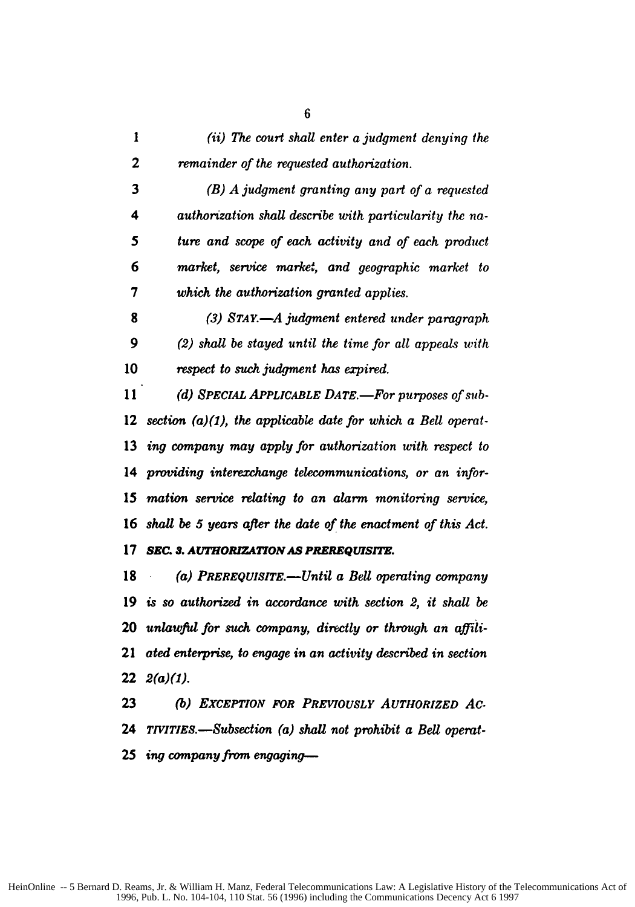|   | (ii) The court shall enter a judgment denying the |
|---|---------------------------------------------------|
| 2 | remainder of the requested authorization.         |

*(B) A judgment granting any part of a requested 4 authorization shall describe with particularity the na-5 ture and scope of each activity and of each product 6 market, service market, and geographic market to 7 which the authorization granted applies.*

*(3) STAY.-A judgment entered under paragraph 9 (2) shall be stayed until the time for all appeals with respect to such judgment has expired.*

11 (d) SPECIAL APPLICABLE DATE.—For purposes of sub-*section (a)(1), the applicable date for which a Bell operat-ing company may apply for authorization with respect to providing interechange telecommunications, or an infor-mation service relating to an alarm monitoring service, shall be 5 years after the date of the enactment of this Act.*

#### *SEC. 3. AUTHORIZATION AS PREREQUISITE.*

*(a) PREREQUISITE.-Until a Bell operating company is so authorized in accordance with section 2, it shall be unlawful for such company, directly or through an affili-ated enterprise, to engage in an activity described in section 2(a)(1).*

*(b) EXCEPTION FOR PREVIOUSLY AUTHORIZED AC-TIVITIES.-Subsection (a) shall not prohibit a Bell operat-ing company from engaging-*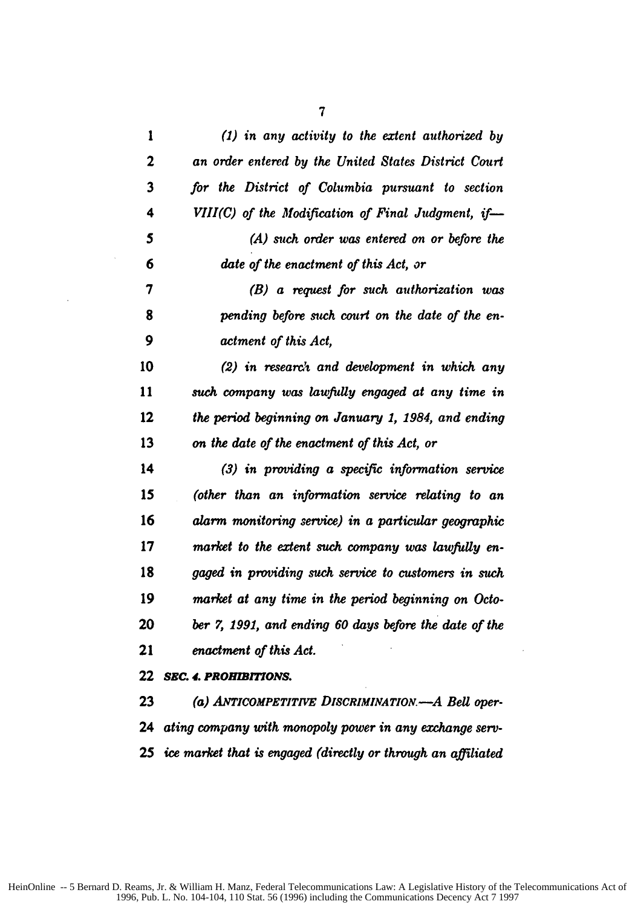| 1                       | $(1)$ in any activity to the extent authorized by                |
|-------------------------|------------------------------------------------------------------|
| $\overline{\mathbf{c}}$ | an order entered by the United States District Court             |
| 3                       | for the District of Columbia pursuant to section                 |
| 4                       | $VIII(C)$ of the Modification of Final Judgment, if-             |
| 5                       | $(A)$ such order was entered on or before the                    |
| 6                       | date of the enactment of this Act, or                            |
| 7                       | (B) a request for such authorization was                         |
| 8                       | pending before such court on the date of the en-                 |
| 9                       | actment of this Act,                                             |
| 10                      | $(2)$ in research and development in which any                   |
| 11                      | such company was lawfully engaged at any time in                 |
| 12                      | the period beginning on January 1, 1984, and ending              |
| 13                      | on the date of the enactment of this Act, or                     |
| 14                      | $(3)$ in providing a specific information service                |
| 15                      | (other than an information service relating to an                |
| 16                      | alarm monitoring service) in a particular geographic             |
| 17                      | market to the extent such company was lawfully en-               |
| 18                      | gaged in providing such service to customers in such             |
| 19                      | market at any time in the period beginning on Octo-              |
| 20                      | ber 7, 1991, and ending 60 days before the date of the           |
| 21                      | enactment of this Act.                                           |
| 22                      | <b>SEC. 4. PROHIBITIONS.</b>                                     |
| 23                      | (a) ANTICOMPETITIVE DISCRIMINATION.-A Bell oper-                 |
| 24                      | ating company with monopoly power in any exchange serv-          |
|                         | 25 ice market that is engaged (directly or through an affiliated |

 $\sim$ 

 $\mathcal{L}^{\text{max}}_{\text{max}}$ 

 $\sim$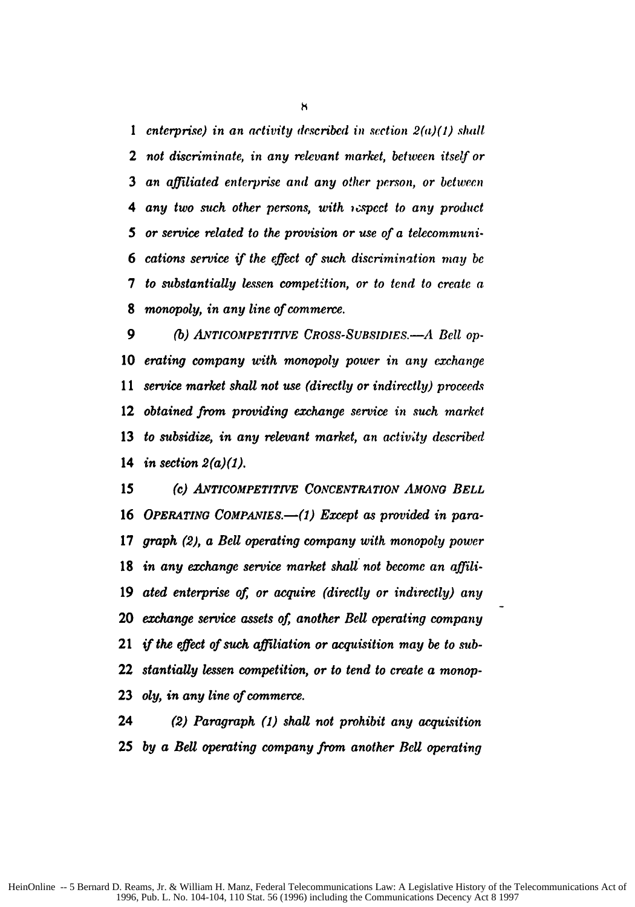**I** *enterprise) in an activity described in section* 2(a)(1) *shall not discriminate, in any relevant market, between itself or an affiliated enterprise and any other person, or between 4 any two such other persons, with ispcct to any product or service related to the provision or use of a telecommuni-cations service if the effect of such discrimination may be to substantially lessen competition, or to tend to create a monopoly, in any line of commerce.*

*(b) ANTICOMPETITIVE CROSS-SUBSIDIES.-A Bell op-erating company with monopoly power in any exchange 11 service market shall not use (directly or indirectly) proceeds obtained from providing exchange service in such market to subsidize, in any relevant market, an activity described in section 2(a)(1).*

**(c)** *ANTICOMPETITIVE CONCENTRATION AMONo BELL* 16 OPERATING COMPANIES.—(1) Except as provided in para-*graph (2), a Bell operating company with monopoly power in any exchange service market shall not become an affili-ated enterprise of, or acquire (directly or indirectly) any exchange service assets of, another Bell operating company if the effect of such affiliation or acquisition may be to sub-stantially lessen competition, or to tend to create a monop-oly, in any line of commerce.*

*(2) Paragraph (1) shall not prohibit any acquisition by a Bell operating company from another Bell operating*

**S**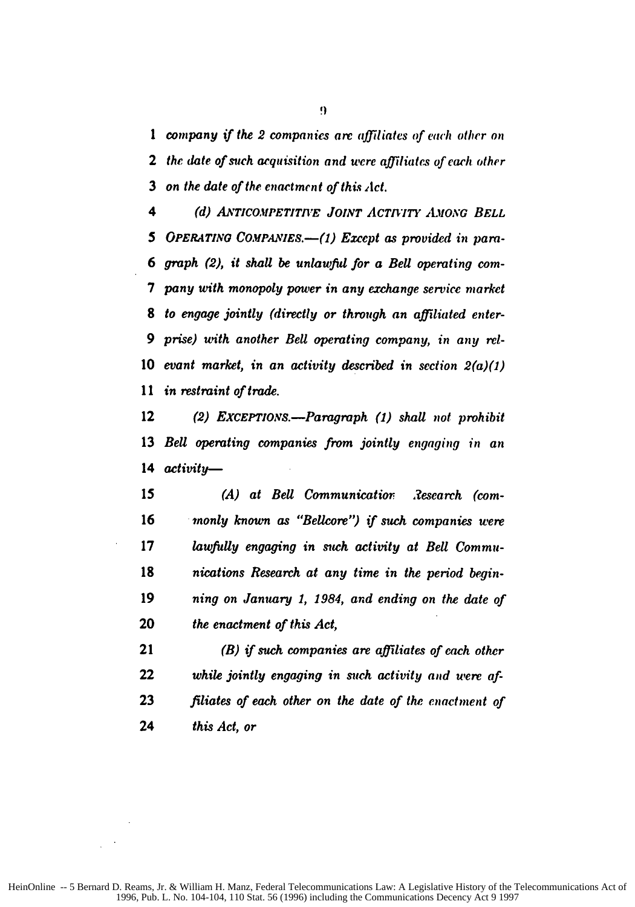*company if the 2 companies are affiliates of each other on* 2 the date of such acquisition and were affiliates of each other *on the date of the enactment of this let.*

*(d) A-TICOMPETITImE JOINT ACTIVITY LvONG BELL* 5 OPERATING COMPANIES.—(1) Except as provided in para-*6 graph (2), it shall be unlawful for a Bell operating corn-pany with monopoly power in any exchange service market to engage jointly (directly or through an affiliated enter-9 prise) with another Bell operating company, in any rel-evant market, in an activity described in section 2(a)(1) in restraint of trade.*

*(2) EXCEPTIONS.-Paragraph (1) shall not prohibit Bell operating companies from jointly engaging in an activity-*

*15 (A) at Bell Communicatior. 3esearch (com-monly known as "Bellcore") if such companies were lawfully engaging in such activity at Bell Commu-nications Research at any time in the period begin-ning on January 1, 1984, and ending on the date of the enactment of this Act,*

*(B) if such companies are affiliates of each other while jointly engaging in such activity and were af-filiates of each other on the date of the enactment of this Act, or*

**f1**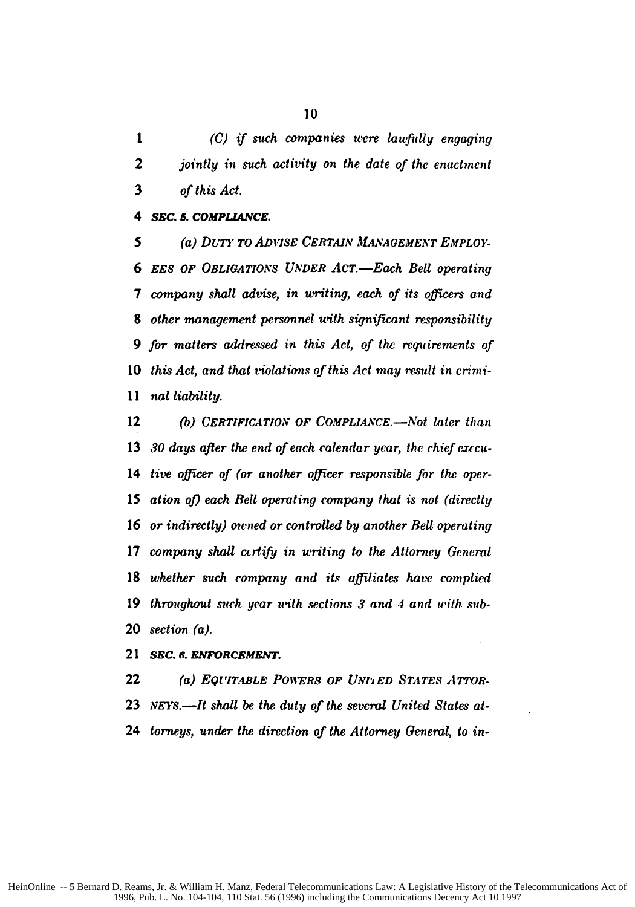*1 (C) if such companies were laufilly engaging jointly in such activity on the date of the enactment of this Act.*

*sEC. 5. COMPLIANCE.*

5 (a) DUTY TO ADVISE CERTAIN MANAGEMENT EMPLOY-*6 EES OF OBLIGATIONS* **UNDER** *AcT.-Each Bell operating company shall advise, in writing, each of its officers and other management personnel with significant responsibility for matters addressed in this Act, of the requirements of this Act, and that violations of this Act may result in crimi-11 nat liability.*

*(b) CERTIFICATION OF COMPLIANCE.-Not later than 30 days after the end of each calendar year, the chief exccu-tire officer of (or another officer responsible for the oper-*15 ation of) each Bell operating company that is not (directly *or indirectly) owned or controlled by another Bell operating company shall ctrtifij in writing to the Attorney General whether such company and its affiliates have complied throughout such year uith sections 3 and .4 and with sub-section (a).*

*SEC. 6. ENFORCEMENT.*

*(a) EQUITABLE POWERS OF UNt' ED STATES ATTOR-NEY.-It shall be the duty of the several United States at-torneys, under the direction of the Attorney General, to in-*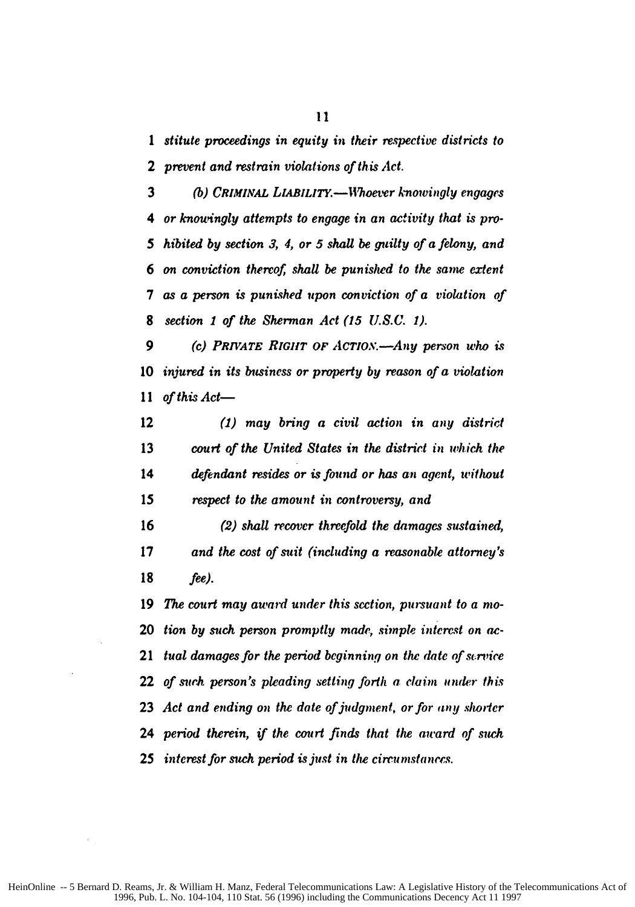*1 stitute proceedings in equity in their respective districts to prevent and restrain violations of this Act.*

 (b) *CRIMINAL LIABILITY.*—Whoever knowingly engages *4 or knouingly attempts to* engage *in an activity that is pro-5 hibited by section 3, 4, or 5 shall be guilty of a felony, and on conviction thereof shall be punished to the same extent as a person is punished upon conviction of a violation of section 1 of the Sherman Act (15 U.S.C. 1).*

*(c) PRIVATE RIGHT OF ACTiO.-Any person who is injured in its business or property by reason of a violation* 11 of this Act-

*(1) may bring a civil action in any district court of the United States in the district in which the defendant resides or is found or has an agent, without respect to the amount in controversy, and*

*(2) shall recover threefold the damages sustained, and the cost of suit (including a reasonable attorney's fee).*

*The court may award under this section, pursuant to a noo-tion by such person promptly made, simple interest on ac-tual damages for the period beginning on the date of service of such person's pleading setting forth a claim under this* 23 Act and ending on the date of judgment, or for any shorter *period therein, if the court finds that the award of such interest for such period is just in the circumstances.*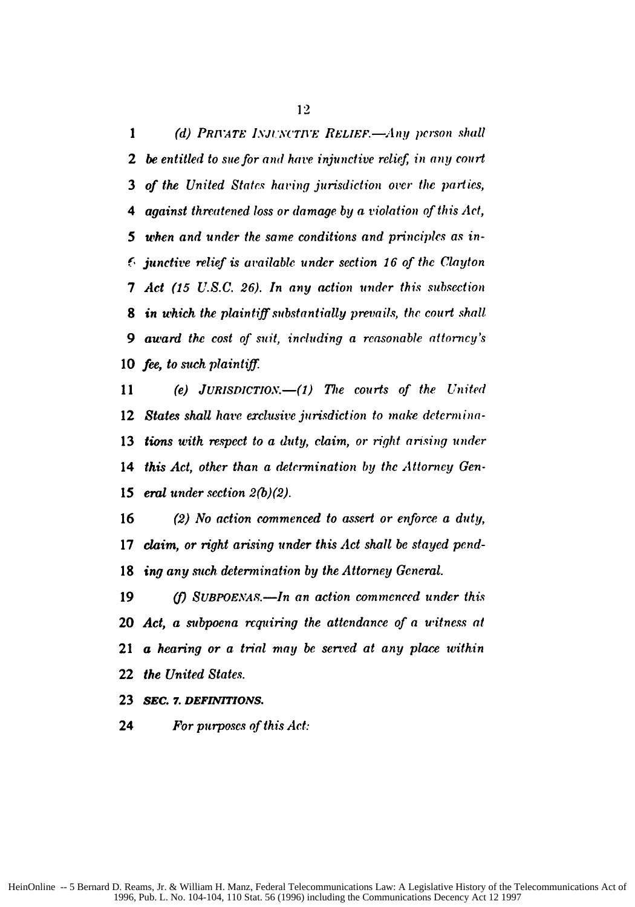(d) **PRIVATE** *INJUNCTIVE RELIEF.*—Any person shall *be entitled to sue for and hate injunctive relief, in any court of the United States having jurisdiction over the parties, 4 against threatened loss or damage by a violation of this Act, 5 when and under the same conditions and principles as in-junctive relief is available under section 16 of the Clayton 7 Act (15 U.S.C. 26). In any action under this subsection in which the plaintiff substantially prevails, the court shall 9 award the cost of suit, including a reasonable attorney's fee, to such plaintiff.*

11 (e) JURISDICTION.—(1) The courts of the United *States shall have exclusive jurisdiction to make determina-tions with respect to a duty, claim, or right arising under this Act, other than a determination by the Attorney Gen-15 eral under section 2(b)(2).*

*(2) No action commenced to assert or enforce a duty, claim, or right arising under this Act shall be stayed pend-ing any such determination by the Attorney General.*

 *(f)* **SUBPOENAS.—In an action commenced under this** *Act, a subpoena requiring the attendance of a witness at a hearing or a trial may be served at any place within the United States.*

*SEC. 7. DEFINITIONS.*

*For purposes of this Act:*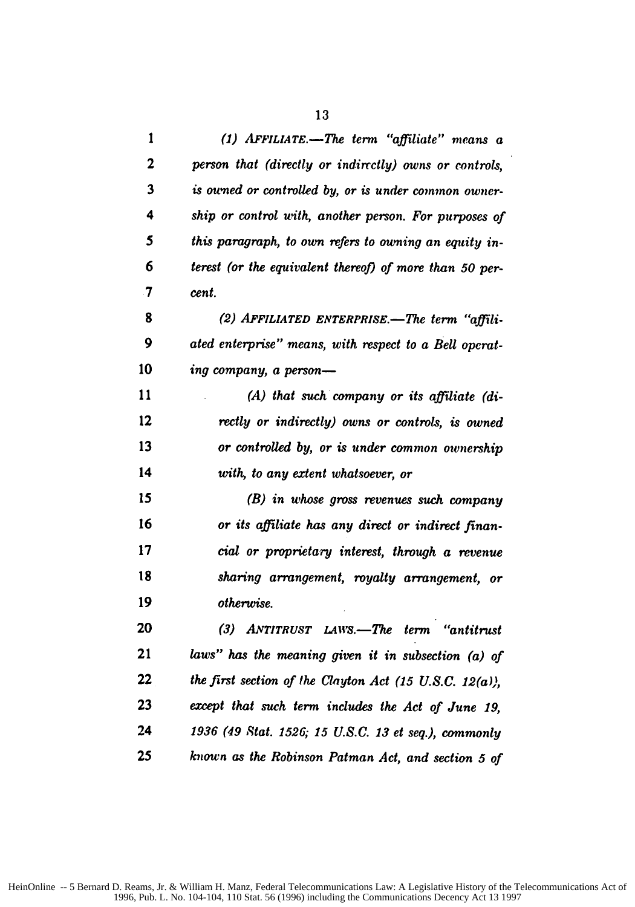| 1                   | (1) $AFFILIATE. - The term 'affiliate' means a$         |
|---------------------|---------------------------------------------------------|
| 2                   | person that (directly or indirctly) owns or controls,   |
| 3                   | is ouned or controlled by, or is under common owner-    |
| 4                   | ship or control with, another person. For purposes of   |
| 5                   | this paragraph, to own refers to owning an equity in-   |
| 6                   | terest (or the equivalent thereof) of more than 50 per- |
| $\boldsymbol{\tau}$ | cent.                                                   |
| 8                   | (2) AFFILIATED ENTERPRISE.-The term "affili-            |
| 9                   | ated enterprise" means, with respect to a Bell operat-  |
| 10                  | ing company, a person-                                  |
| 11                  | (A) that such company or its affiliate (di-             |
| 12                  | rectly or indirectly) owns or controls, is owned        |
| 13                  | or controlled by, or is under common ownership          |
| 14                  | with, to any extent whatsoever, or                      |
| 15                  | (B) in whose gross revenues such company                |
| 16                  | or its affiliate has any direct or indirect finan-      |
| 17                  | cial or proprietary interest, through a revenue         |
| 18                  | sharing arrangement, royalty arrangement, or            |
| 19                  | otherwise.                                              |
| 20                  | (3) ANTITRUST LAWS.—The term "antitrust"                |
| 21                  | laws" has the meaning given it in subsection $(a)$ of   |
| 22                  | the first section of the Clayton Act (15 U.S.C. 12(a)), |
| 23                  | except that such term includes the Act of June 19,      |
| 24                  | 1936 (49 Stat. 1526; 15 U.S.C. 13 et seq.), commonly    |
| 25                  | known as the Robinson Patman Act, and section 5 of      |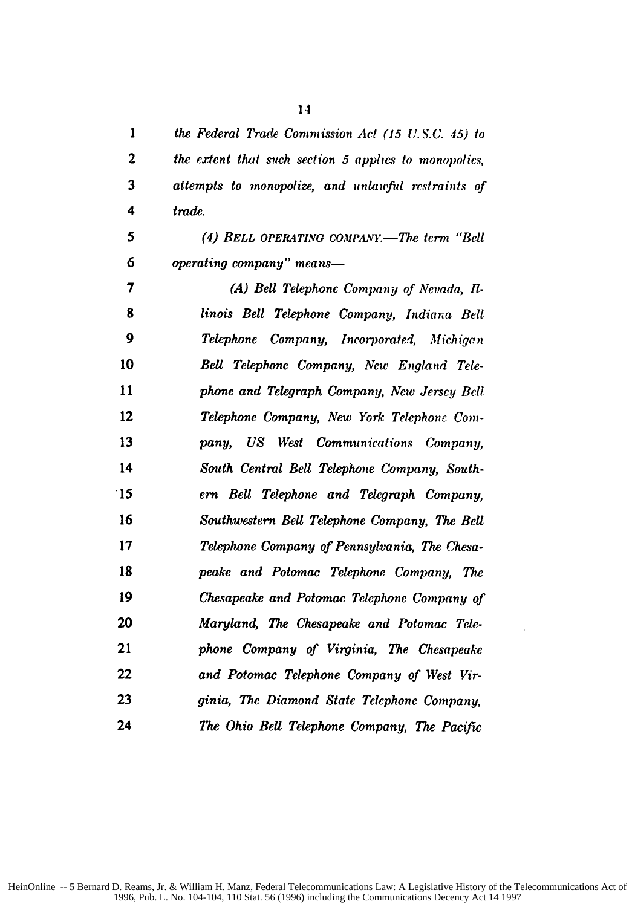*the Federal Trade Commission Act (15 U. S.C. .5) to*

*the ertent tht such section 5 applies to monopolies, attempts to monopolize, and inlazifid restraints of 4 trade. 5 (4) BELL OPERATING COMPANY.-The terrn "Bell operating company" means-7 (A) Bell Telephone Company of Nevada, 17- linois Bell Telephone Company, Indiana Bell 9 Telephone Company, Incorporated, Michigan Bell Telephone Company, New England Tele-phone and Telegraph Company, New Jersey Bell Telephone Company, New York Telephone Com-pany, US West Communications Company, South Central Bell Telephone Company, South-15 erm Bell Telephone and Telegraph Company, Southwestern Bell Telephone Company, The Bell Telephone Company of Pennsylvania, The Chesa-peake and Potomac Telephone Company, The Chesapeake and Potomac Telephone Company of Maryland, The Chesapeake and Potomac Tele-phone Company of Virginia, The Chesapeake and Potomac Telephone Company of West Vir-ginia, The Diamond State Telephone Company, The Ohio Bell Telephone Company, The Pacific*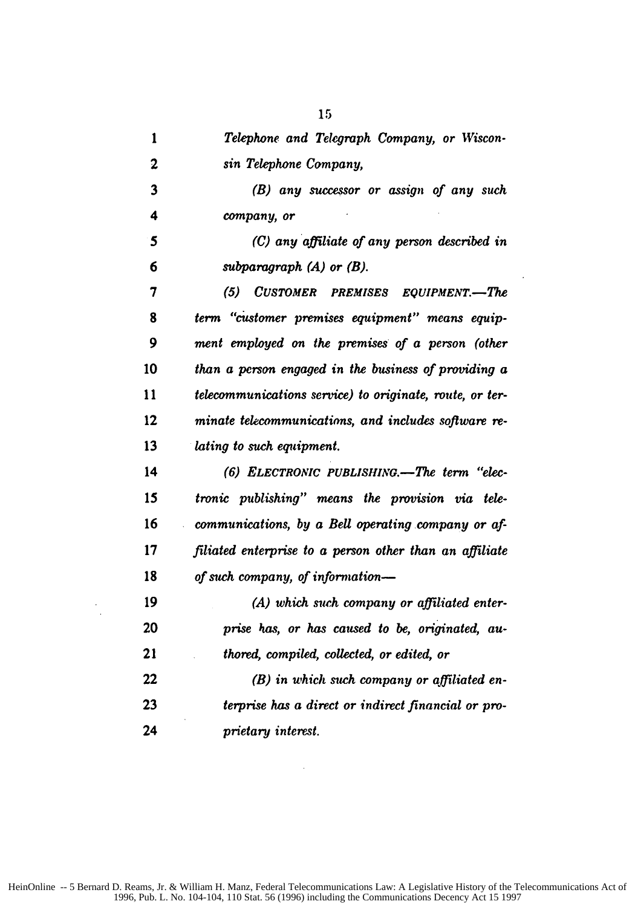|   | Telephone and Telegraph Company, or Wiscon- |
|---|---------------------------------------------|
|   | sin Telephone Company,                      |
| ́ | and processes an according of and such      |

*(B) any successor or assign of any such 4 company, or*

*5 (C) any affiliate of any person described in 6 subparagraph (A) or (B).*

*(5) CUSTOMER PREMISES EQUIPMENT.-The term "citstomer premises equipment" means equip-9 ment employed on the premises of a person (other than a person engaged in the business of providing a telecommunications service) to originate, route, or ter-minate telecommunications, and includes software re-lating to such equipment.*

**(6)** *ELECTRONIC PUBLISHING.- The term "elec-tronic publishing" means the provision via tele-communications, by a Bell operating company or af-filiated enterprise to a person other than an affiliate of such company, of information-*

*(A) which such company or affiliated enter-prise has, or has caused to be, originated, au-thored, compiled, collected, or edited, or (B) in which such company or affiliated en-terprise has a direct or indirect financial or pro-prietary interest.*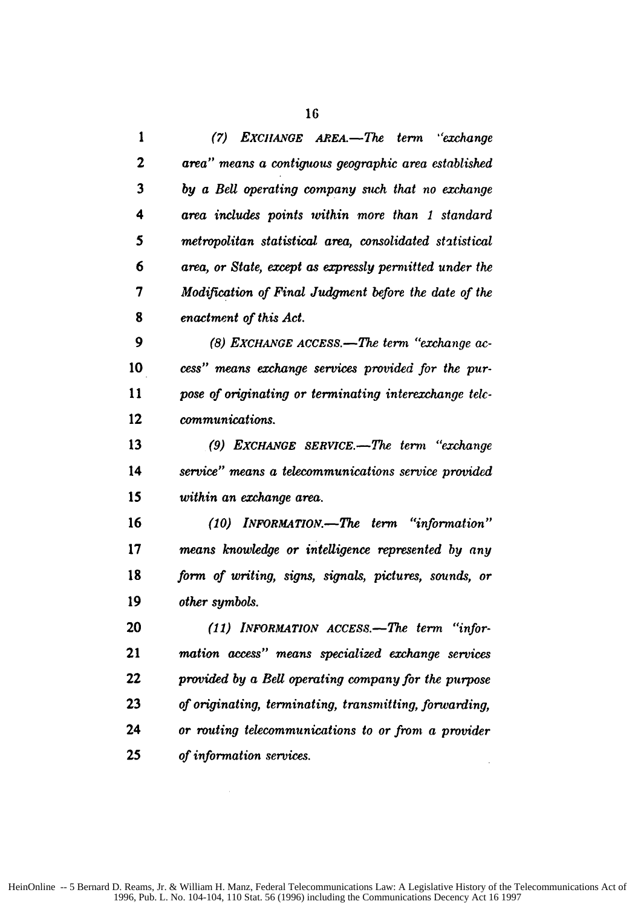|   | (7) EXCHANGE AREA.—The term "exchange"                  |
|---|---------------------------------------------------------|
| 2 | area" means a contiguous geographic area established    |
| 3 | by a Bell operating company such that no exchange       |
| 4 | area includes points within more than 1 standard        |
| 5 | metropolitan statistical area, consolidated statistical |
| 6 | area, or State, except as expressly permitted under the |
| 7 | Modification of Final Judgment before the date of the   |
| 8 | enactment of this Act.                                  |

*(8) EXCHANGE ACCESS.-The term "exchange ac-cess" means exchange services provided for the pur-pose of originating or terminating interexchange elt-communications.*

**(9)** *EXCHANGE sERVICE.-The term "exchange service" means a telecommunications service provided within an exchange area.*

*(10) INFORMATION.-The term "information" means knowledge or intelligence represented by any form of writing, signs, signals, pictures, sounds, or other symbols.*

*(11) INFORMATION ACCESS.-The term "infor-mation access" means specialized exchange services provided by a Bell operating company for the purpose of originating, terminating, transmitting, forwarding, or routing telecommunications to or front a provider of information services.*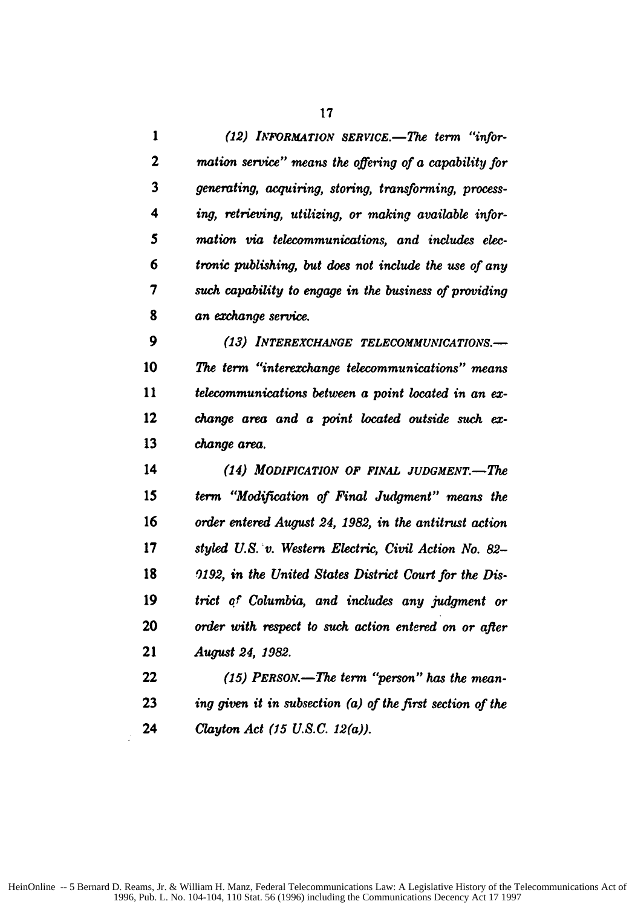*(12) INFORMATION SERVICE.-The term "infor-mation service" means the offering of a capability for generating, acquiring, storing, transforming, process-ing, retrieving, utilizing, or making available infor-5 mation via telecommunications, and includes elec-6 tronic publishing, but does not include the use of any such capability to engage in the business of providing an exchange service.*

*(13) INTEREXCHANGE TELECOMMUNICATIONS.- The term "interexzhange telecommunications" means telecommunications between a point located in an ex-change area and a point located outside such ex-change area.*

*(14) MODIFICATION OF FINAL JUDGMENT.-The term "Modification of Final Judgment" means the order entered August 24, 1982, in the antitrust action styled U.S. Iv. Western Electric, Civil Action No. 82- 0192, in the United States District Court for the Dis-trict of Columbia, and includes any judgment or order with respect to such action entered on or after August 24, 1982.*

*(15) PERSON.-The term "person" has the mean-ing given it in subsection (a) of the first section of the Clayton Act (15 U.S.C. 12(a)).*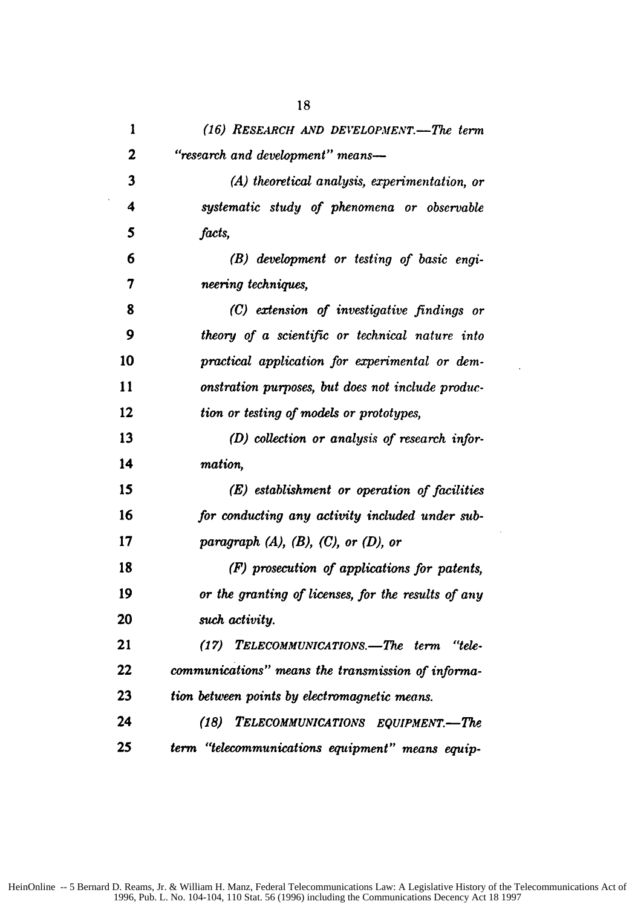| 1            | (16) RESEARCH AND DEVELOPMENT.—The term             |
|--------------|-----------------------------------------------------|
| $\mathbf{2}$ | "research and development" means-                   |
| 3            | $(A)$ theoretical analysis, experimentation, or     |
| 4            | systematic study of phenomena or observable         |
| 5            | facts,                                              |
| 6            | (B) development or testing of basic engi-           |
| 7            | neering techniques,                                 |
| 8            | (C) extension of investigative findings or          |
| 9            | theory of a scientific or technical nature into     |
| 10           | practical application for experimental or dem-      |
| 11           | onstration purposes, but does not include produc-   |
| 12           | tion or testing of models or prototypes,            |
| 13           | (D) collection or analysis of research infor-       |
| 14           | mation,                                             |
| 15           | (E) establishment or operation of facilities        |
| 16           | for conducting any activity included under sub-     |
| 17           | paragraph $(A)$ , $(B)$ , $(C)$ , or $(D)$ , or     |
| 18           | (F) prosecution of applications for patents,        |
| 19           | or the granting of licenses, for the results of any |
| 20           | such activity.                                      |
| 21           | (17)<br>TELECOMMUNICATIONS.-The term "tele-         |
| 22           | communications" means the transmission of informa-  |
| 23           | tion between points by electromagnetic means.       |
| 24           | (18) TELECOMMUNICATIONS EQUIPMENT.-The              |
| 25           | term "telecommunications equipment" means equip-    |

 $\overline{a}$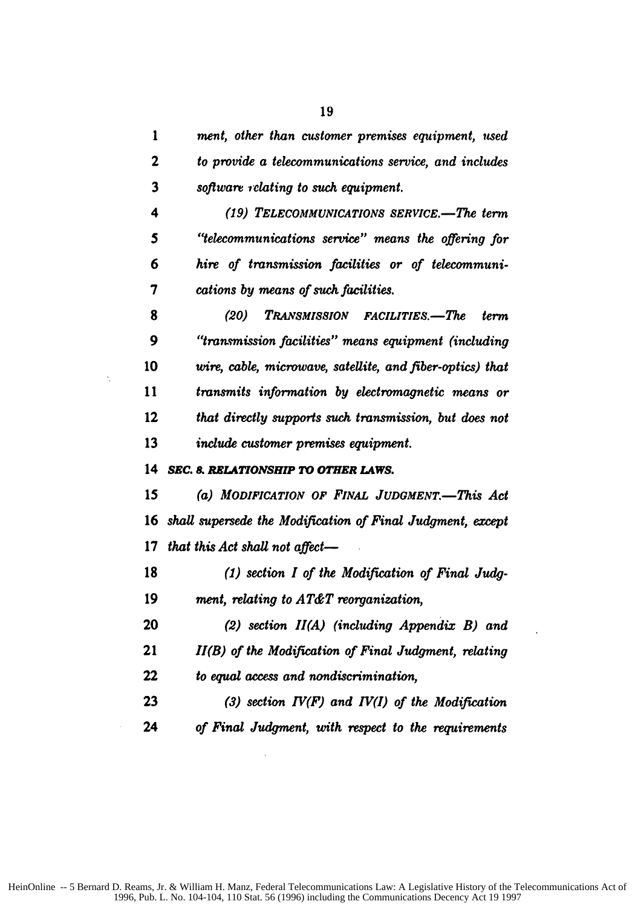| 1  | ment, other than customer premises equipment, used         |
|----|------------------------------------------------------------|
| 2  | to provide a telecommunications service, and includes      |
| 3  | software relating to such equipment.                       |
| 4  | (19) TELECOMMUNICATIONS SERVICE.-The term                  |
| 5  | "telecommunications service" means the offering for        |
| 6  | hire of transmission facilities or of telecommuni-         |
| 7  | cations by means of such facilities.                       |
| 8  | (20)<br>TRANSMISSION FACILITIES.—The<br>term               |
| 9  | "transmission facilities" means equipment (including       |
| 10 | wire, cable, microwave, satellite, and fiber-optics) that  |
| 11 | transmits information by electromagnetic means or          |
| 12 | that directly supports such transmission, but does not     |
| 13 | include customer premises equipment.                       |
| 14 | SEC. 8. RELATIONSHIP TO OTHER LAWS.                        |
| 15 | (a) MODIFICATION OF FINAL JUDGMENT.-This Act               |
| 16 | shall supersede the Modification of Final Judgment, except |
| 17 | that this Act shall not affect-                            |
| 18 | $(1)$ section I of the Modification of Final Judg-         |
| 19 | ment, relating to AT&T reorganization,                     |
| 20 | (2) section $II(A)$ (including Appendix B) and             |
| 21 | II(B) of the Modification of Final Judgment, relating      |
| 22 | to equal access and nondiscrimination,                     |
|    |                                                            |

 $\dot{\gamma}$ 

*(3) section IV(F) and IV(I) of the Modification of Final Judgment, with respect to the requirements*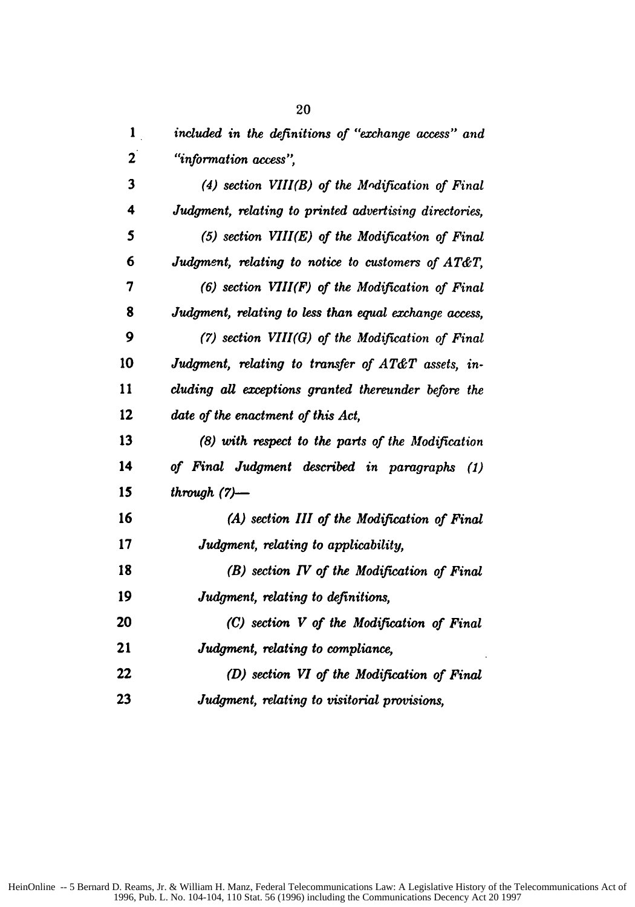| 1                       | included in the definitions of "exchange access" and   |
|-------------------------|--------------------------------------------------------|
| $\mathbf{2}$            | "information access",                                  |
| $\overline{\mathbf{3}}$ | $(4)$ section VIII(B) of the Modification of Final     |
| 4                       | Judgment, relating to printed advertising directories, |
| 5                       | $(5)$ section VIII $(E)$ of the Modification of Final  |
| 6                       | Judgment, relating to notice to customers of AT&T,     |
| 7                       | $(6)$ section $VIII(F)$ of the Modification of Final   |
| 8                       | Judgment, relating to less than equal exchange access, |
| 9                       | (7) section $VIII(G)$ of the Modification of Final     |
| 10                      | Judgment, relating to transfer of AT&T assets, in-     |
| 11                      | cluding all exceptions granted thereunder before the   |
| 12                      | date of the enactment of this Act,                     |
| 13                      | (8) with respect to the parts of the Modification      |
| 14                      | of Final Judgment described in paragraphs (1)          |
| 15                      | through $(7)$ -                                        |
| 16                      | (A) section III of the Modification of Final           |
| 17                      | Judgment, relating to applicability,                   |
| 18                      | $(B)$ section $IV$ of the Modification of Final        |
| 19                      | Judgment, relating to definitions,                     |
| 20                      | (C) section V of the Modification of Final             |
| 21                      | Judgment, relating to compliance,                      |
| 22                      | (D) section VI of the Modification of Final            |
| 23                      | Judgment, relating to visitorial provisions,           |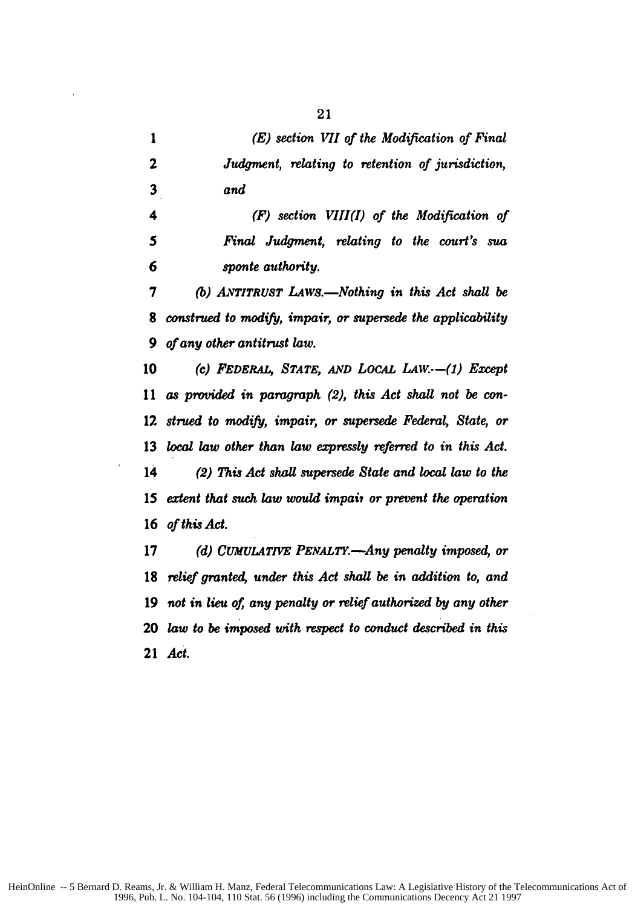*(E) section VII of the Modification of Final Judgment, relating to retention of jurisdiction, and*

*4 (F) section VIII(I) of the Modification of 5 Final Judgment, relating to the court's sua 6 sponte authority.*

*7 (b) AVTITRUST LAws.-Nothing in this Act shall be construed to modify, impair, or supersede the applicability 9 of any other antitrust law.*

10 (c) **FEDERAL, STATE, AND LOCAL LAW.--(1) Except** *as provided in paragraph (2), this Act shall not be con-strued to modify, impair, or supersede Federal, State, or local law other than law expressly referred to in this Act. (2) This Act shall supersede State and local law to the extent that such law would impait or prevent the operation of this Act.*

*(d) CUMULATIVE PENALTY.-Any penalty imposed, or relief granted, under this Act shall be in addition to, and not in lieu of, any penalty or relief authorized by any other law to be imposed with respect to conduct described in this Act.*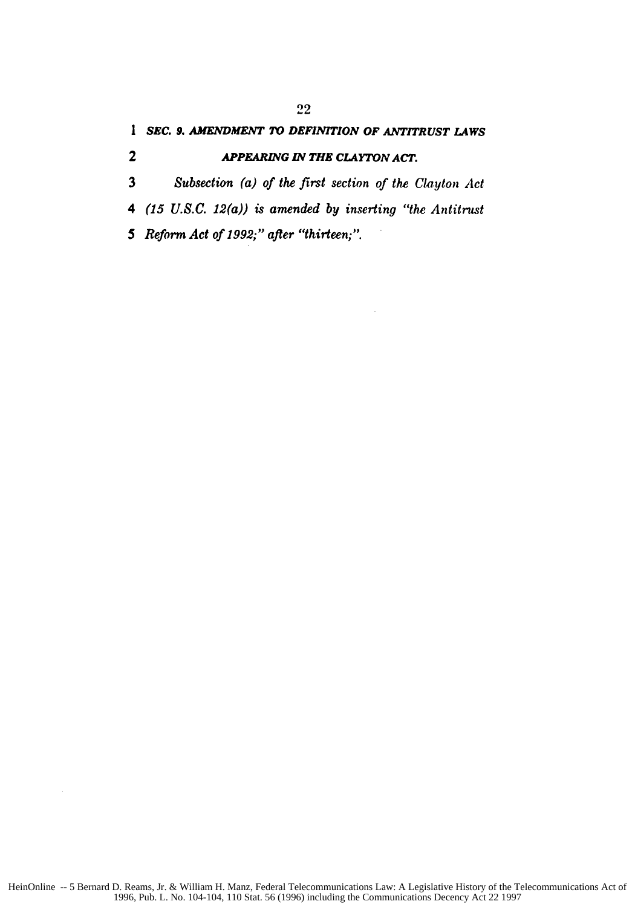*1 SEC. 9. AMENDMENT TO DEFINITION OF ANTITRUST LAWS*

### 2 *APPEARING IN THE CLAYTON ACT.*

3 *Subsection (a) of the first section of the Clayton Act*

*4 (15 U.S.C. 12(a)) is amended by inserting "the Antitrust*

*5 Reform Act of* 1992;" *after "thirteen;".*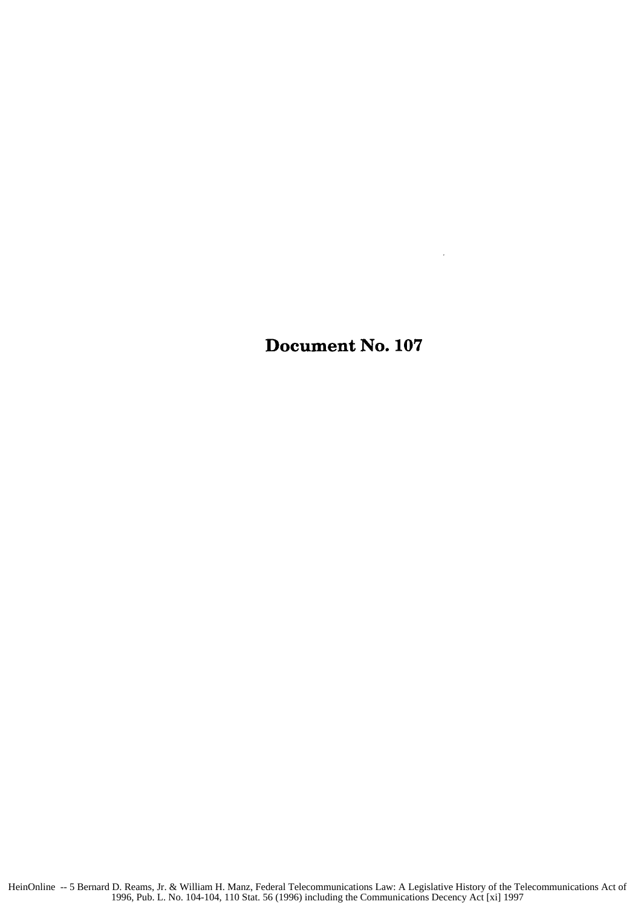Document No. **107**

 $\mathcal{L}_{\mathcal{A}}$